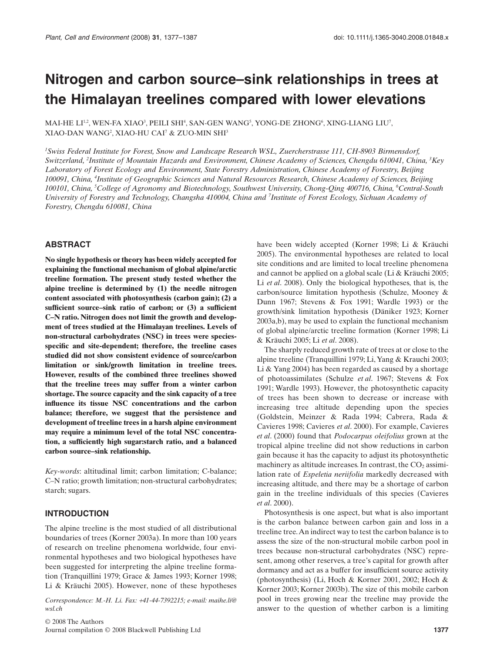# **Nitrogen and carbon source–sink relationships in trees at the Himalayan treelines compared with lower elevations**

MAI-HE  $\mathrm{LI^{12}, WEN\text{-}FA~XIAO^3, PELLI~SHI^4, SAN\text{-}GEN~WANG^5, YONG-DE~ZHONG^6, XING-LIANG~LUU^7, }$ XIAO-DAN WANG2 , XIAO-HU CAI7 & ZUO-MIN SHI3

*1 Swiss Federal Institute for Forest, Snow and Landscape Research WSL, Zuercherstrasse 111, CH-8903 Birmensdorf, Switzerland, <sup>2</sup> Institute of Mountain Hazards and Environment, Chinese Academy of Sciences, Chengdu 610041, China, <sup>3</sup> Key Laboratory of Forest Ecology and Environment, State Forestry Administration, Chinese Academy of Forestry, Beijing 100091, China, <sup>4</sup> Institute of Geographic Sciences and Natural Resources Research, Chinese Academy of Sciences, Beijing 100101, China, <sup>5</sup> College of Agronomy and Biotechnology, Southwest University, Chong-Qing 400716, China, <sup>6</sup> Central-South* University of Forestry and Technology, Changsha 410004, China and <sup>7</sup>Institute of Forest Ecology, Sichuan Academy of *Forestry, Chengdu 610081, China*

#### **ABSTRACT**

**No single hypothesis or theory has been widely accepted for explaining the functional mechanism of global alpine/arctic treeline formation. The present study tested whether the alpine treeline is determined by (1) the needle nitrogen content associated with photosynthesis (carbon gain); (2) a sufficient source–sink ratio of carbon; or (3) a sufficient C–N ratio. Nitrogen does not limit the growth and development of trees studied at the Himalayan treelines. Levels of non-structural carbohydrates (NSC) in trees were speciesspecific and site-dependent; therefore, the treeline cases studied did not show consistent evidence of source/carbon limitation or sink/growth limitation in treeline trees. However, results of the combined three treelines showed that the treeline trees may suffer from a winter carbon shortage. The source capacity and the sink capacity of a tree influence its tissue NSC concentrations and the carbon balance; therefore, we suggest that the persistence and development of treeline trees in a harsh alpine environment may require a minimum level of the total NSC concentration, a sufficiently high sugar:starch ratio, and a balanced carbon source–sink relationship.**

*Key-words*: altitudinal limit; carbon limitation; C-balance; C–N ratio; growth limitation; non-structural carbohydrates; starch; sugars.

#### **INTRODUCTION**

The alpine treeline is the most studied of all distributional boundaries of trees (Korner 2003a). In more than 100 years of research on treeline phenomena worldwide, four environmental hypotheses and two biological hypotheses have been suggested for interpreting the alpine treeline formation (Tranquillini 1979; Grace & James 1993; Korner 1998; Li & Kräuchi 2005). However, none of these hypotheses

*Correspondence: M.-H. Li. Fax:* +*41-44-7392215; e-mail: maihe.li@ wsl.ch*

© 2008 The Authors Journal compilation © 2008 Blackwell Publishing Ltd **1377**

have been widely accepted (Korner 1998; Li & Kräuchi 2005). The environmental hypotheses are related to local site conditions and are limited to local treeline phenomena and cannot be applied on a global scale (Li & Kräuchi 2005; Li *et al*. 2008). Only the biological hypotheses, that is, the carbon/source limitation hypothesis (Schulze, Mooney & Dunn 1967; Stevens & Fox 1991; Wardle 1993) or the growth/sink limitation hypothesis (Däniker 1923; Korner 2003a,b), may be used to explain the functional mechanism of global alpine/arctic treeline formation (Korner 1998; Li & Kräuchi 2005; Li *et al*. 2008).

The sharply reduced growth rate of trees at or close to the alpine treeline (Tranquillini 1979; Li, Yang & Krauchi 2003; Li & Yang 2004) has been regarded as caused by a shortage of photoassimilates (Schulze *et al*. 1967; Stevens & Fox 1991; Wardle 1993). However, the photosynthetic capacity of trees has been shown to decrease or increase with increasing tree altitude depending upon the species (Goldstein, Meinzer & Rada 1994; Cabrera, Rada & Cavieres 1998; Cavieres *et al*. 2000). For example, Cavieres *et al*. (2000) found that *Podocarpus oleifolius* grown at the tropical alpine treeline did not show reductions in carbon gain because it has the capacity to adjust its photosynthetic machinery as altitude increases. In contrast, the  $CO<sub>2</sub>$  assimilation rate of *Espeletia neriifolia* markedly decreased with increasing altitude, and there may be a shortage of carbon gain in the treeline individuals of this species (Cavieres *et al*. 2000).

Photosynthesis is one aspect, but what is also important is the carbon balance between carbon gain and loss in a treeline tree.An indirect way to test the carbon balance is to assess the size of the non-structural mobile carbon pool in trees because non-structural carbohydrates (NSC) represent, among other reserves, a tree's capital for growth after dormancy and act as a buffer for insufficient source activity (photosynthesis) (Li, Hoch & Korner 2001, 2002; Hoch & Korner 2003; Korner 2003b). The size of this mobile carbon pool in trees growing near the treeline may provide the answer to the question of whether carbon is a limiting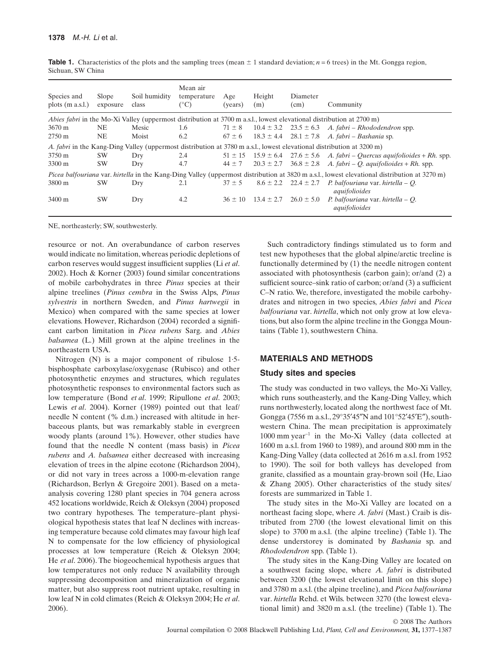| Species and<br>plots $(m a.s.l.)$                                                                                                                          | Slope<br>exposure | Soil humidity<br>class | Mean air<br>temperature<br>$(^\circ C)$ | Age<br>(vears) | Height<br>(m)  | Diameter<br>(cm)             | Community                                                                             |  |  |
|------------------------------------------------------------------------------------------------------------------------------------------------------------|-------------------|------------------------|-----------------------------------------|----------------|----------------|------------------------------|---------------------------------------------------------------------------------------|--|--|
| Abies fabri in the Mo-Xi Valley (uppermost distribution at 3700 m a.s.l., lowest elevational distribution at 2700 m)                                       |                   |                        |                                         |                |                |                              |                                                                                       |  |  |
| $3670 \text{ m}$                                                                                                                                           | NE.               | Mesic                  | 1.6                                     | $71 \pm 8$     |                |                              | $10.4 \pm 3.2$ $23.5 \pm 6.3$ A. fabri – Rhododendron spp.                            |  |  |
| $2750 \text{ m}$                                                                                                                                           | NE.               | Moist                  | 6.2                                     | $67 \pm 6$     |                |                              | $18.3 \pm 4.4$ 28.1 $\pm$ 7.8 A. fabri – Bashania sp.                                 |  |  |
| A. fabri in the Kang-Ding Valley (uppermost distribution at 3780 m a.s.l., lowest elevational distribution at 3200 m)                                      |                   |                        |                                         |                |                |                              |                                                                                       |  |  |
| 3750 m                                                                                                                                                     | <b>SW</b>         | Dry                    | 2.4                                     |                |                |                              | $51 \pm 15$ $15.9 \pm 6.4$ $27.6 \pm 5.6$ A. fabri – Quercus aquifolioides + Rh. spp. |  |  |
| 3300 m                                                                                                                                                     | <b>SW</b>         | Dry                    | 4.7                                     | $44 \pm 7$     |                |                              | $20.3 \pm 2.7$ 36.8 $\pm 2.8$ A. fabri – Q. aquifolioides + Rh. spp.                  |  |  |
| <i>Picea balfouriana</i> var. <i>hirtella</i> in the Kang-Ding Valley (uppermost distribution at 3820 m a.s.l., lowest elevational distribution at 3270 m) |                   |                        |                                         |                |                |                              |                                                                                       |  |  |
| 3800 m                                                                                                                                                     | <b>SW</b>         | Dry                    | 2.1                                     | $37 \pm 5$     |                | $8.6 \pm 2.2$ $22.4 \pm 2.7$ | P. balfouriana var. hirtella – O.<br>aquifolioides                                    |  |  |
| 3400 m                                                                                                                                                     | <b>SW</b>         | Dry                    | 4.2                                     | $36 \pm 10$    | $13.4 \pm 2.7$ | $26.0 \pm 5.0$               | P. balfouriana var. hirtella – $O$ .<br>aquifolioides                                 |  |  |

**Table 1.** Characteristics of the plots and the sampling trees (mean  $\pm$  1 standard deviation;  $n = 6$  trees) in the Mt. Gongga region, Sichuan, SW China

NE, northeasterly; SW, southwesterly.

resource or not. An overabundance of carbon reserves would indicate no limitation, whereas periodic depletions of carbon reserves would suggest insufficient supplies (Li *et al*. 2002). Hoch & Korner (2003) found similar concentrations of mobile carbohydrates in three *Pinus* species at their alpine treelines (*Pinus cembra* in the Swiss Alps, *Pinus sylvestris* in northern Sweden, and *Pinus hartwegii* in Mexico) when compared with the same species at lower elevations. However, Richardson (2004) recorded a significant carbon limitation in *Picea rubens* Sarg. and *Abies balsamea* (L.) Mill grown at the alpine treelines in the northeastern USA.

Nitrogen (N) is a major component of ribulose 1·5 bisphosphate carboxylase/oxygenase (Rubisco) and other photosynthetic enzymes and structures, which regulates photosynthetic responses to environmental factors such as low temperature (Bond *et al*. 1999; Ripullone *et al*. 2003; Lewis *et al*. 2004). Korner (1989) pointed out that leaf/ needle N content (% d.m.) increased with altitude in herbaceous plants, but was remarkably stable in evergreen woody plants (around 1%). However, other studies have found that the needle N content (mass basis) in *Picea rubens* and *A. balsamea* either decreased with increasing elevation of trees in the alpine ecotone (Richardson 2004), or did not vary in trees across a 1000-m-elevation range (Richardson, Berlyn & Gregoire 2001). Based on a metaanalysis covering 1280 plant species in 704 genera across 452 locations worldwide, Reich & Oleksyn (2004) proposed two contrary hypotheses. The temperature–plant physiological hypothesis states that leaf N declines with increasing temperature because cold climates may favour high leaf N to compensate for the low efficiency of physiological processes at low temperature (Reich & Oleksyn 2004; He *et al*. 2006). The biogeochemical hypothesis argues that low temperatures not only reduce N availability through suppressing decomposition and mineralization of organic matter, but also suppress root nutrient uptake, resulting in low leaf N in cold climates (Reich & Oleksyn 2004; He *et al*. 2006).

Such contradictory findings stimulated us to form and test new hypotheses that the global alpine/arctic treeline is functionally determined by (1) the needle nitrogen content associated with photosynthesis (carbon gain); or/and (2) a sufficient source–sink ratio of carbon; or/and (3) a sufficient C–N ratio. We, therefore, investigated the mobile carbohydrates and nitrogen in two species, *Abies fabri* and *Picea balfouriana* var. *hirtella*, which not only grow at low elevations, but also form the alpine treeline in the Gongga Mountains (Table 1), southwestern China.

# **MATERIALS AND METHODS**

#### **Study sites and species**

The study was conducted in two valleys, the Mo-Xi Valley, which runs southeasterly, and the Kang-Ding Valley, which runs northwesterly, located along the northwest face of Mt. Gongga (7556 m a.s.l., 29°35′45″N and 101°52′45′E″), southwestern China. The mean precipitation is approximately  $1000$  mm year<sup>-1</sup> in the Mo-Xi Valley (data collected at 1600 m a.s.l. from 1960 to 1989), and around 800 mm in the Kang-Ding Valley (data collected at 2616 m a.s.l. from 1952 to 1990). The soil for both valleys has developed from granite, classified as a mountain gray-brown soil (He, Liao & Zhang 2005). Other characteristics of the study sites/ forests are summarized in Table 1.

The study sites in the Mo-Xi Valley are located on a northeast facing slope, where *A. fabri* (Mast.) Craib is distributed from 2700 (the lowest elevational limit on this slope) to 3700 m a.s.l. (the alpine treeline) (Table 1). The dense understorey is dominated by *Bashania* sp. and *Rhododendron* spp. (Table 1).

The study sites in the Kang-Ding Valley are located on a southwest facing slope, where *A. fabri* is distributed between 3200 (the lowest elevational limit on this slope) and 3780 m a.s.l. (the alpine treeline), and *Picea balfouriana* var. *hirtella* Rehd. et Wils. between 3270 (the lowest elevational limit) and 3820 m a.s.l. (the treeline) (Table 1). The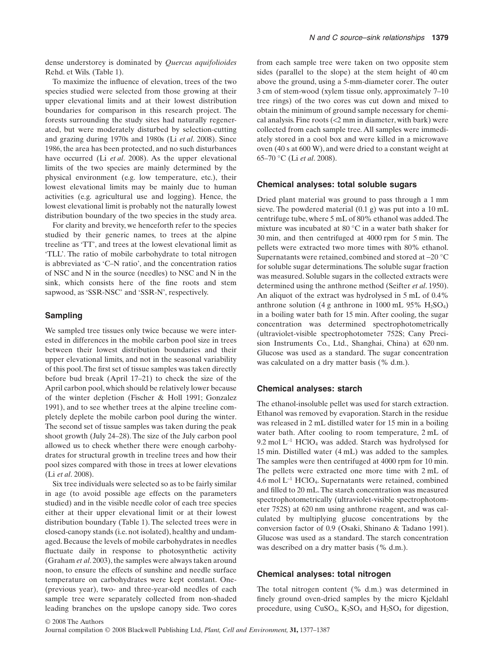dense understorey is dominated by *Quercus aquifolioides* Rehd. et Wils. (Table 1).

To maximize the influence of elevation, trees of the two species studied were selected from those growing at their upper elevational limits and at their lowest distribution boundaries for comparison in this research project. The forests surrounding the study sites had naturally regenerated, but were moderately disturbed by selection-cutting and grazing during 1970s and 1980s (Li *et al*. 2008). Since 1986, the area has been protected, and no such disturbances have occurred (Li *et al*. 2008). As the upper elevational limits of the two species are mainly determined by the physical environment (e.g. low temperature, etc.), their lowest elevational limits may be mainly due to human activities (e.g. agricultural use and logging). Hence, the lowest elevational limit is probably not the naturally lowest distribution boundary of the two species in the study area.

For clarity and brevity, we henceforth refer to the species studied by their generic names, to trees at the alpine treeline as 'TT', and trees at the lowest elevational limit as 'TLL'. The ratio of mobile carbohydrate to total nitrogen is abbreviated as 'C–N ratio', and the concentration ratios of NSC and N in the source (needles) to NSC and N in the sink, which consists here of the fine roots and stem sapwood, as 'SSR-NSC' and 'SSR-N', respectively.

#### **Sampling**

We sampled tree tissues only twice because we were interested in differences in the mobile carbon pool size in trees between their lowest distribution boundaries and their upper elevational limits, and not in the seasonal variability of this pool.The first set of tissue samples was taken directly before bud break (April 17–21) to check the size of the April carbon pool, which should be relatively lower because of the winter depletion (Fischer & Holl 1991; Gonzalez 1991), and to see whether trees at the alpine treeline completely deplete the mobile carbon pool during the winter. The second set of tissue samples was taken during the peak shoot growth (July 24–28). The size of the July carbon pool allowed us to check whether there were enough carbohydrates for structural growth in treeline trees and how their pool sizes compared with those in trees at lower elevations (Li *et al*. 2008).

Six tree individuals were selected so as to be fairly similar in age (to avoid possible age effects on the parameters studied) and in the visible needle color of each tree species either at their upper elevational limit or at their lowest distribution boundary (Table 1). The selected trees were in closed-canopy stands (i.e. not isolated), healthy and undamaged. Because the levels of mobile carbohydrates in needles fluctuate daily in response to photosynthetic activity (Graham *et al*. 2003), the samples were always taken around noon, to ensure the effects of sunshine and needle surface temperature on carbohydrates were kept constant. One- (previous year), two- and three-year-old needles of each sample tree were separately collected from non-shaded leading branches on the upslope canopy side. Two cores from each sample tree were taken on two opposite stem sides (parallel to the slope) at the stem height of 40 cm above the ground, using a 5-mm-diameter corer. The outer 3 cm of stem-wood (xylem tissue only, approximately 7–10 tree rings) of the two cores was cut down and mixed to obtain the minimum of ground sample necessary for chemical analysis. Fine roots (<2 mm in diameter, with bark) were collected from each sample tree. All samples were immediately stored in a cool box and were killed in a microwave oven (40 s at 600 W), and were dried to a constant weight at 65–70 °C (Li *et al*. 2008).

#### **Chemical analyses: total soluble sugars**

Dried plant material was ground to pass through a 1 mm sieve. The powdered material (0.1 g) was put into a 10 mL centrifuge tube, where 5 mL of 80% ethanol was added.The mixture was incubated at 80 °C in a water bath shaker for 30 min, and then centrifuged at 4000 rpm for 5 min. The pellets were extracted two more times with 80% ethanol. Supernatants were retained, combined and stored at -20 °C for soluble sugar determinations. The soluble sugar fraction was measured. Soluble sugars in the collected extracts were determined using the anthrone method (Seifter *et al*. 1950). An aliquot of the extract was hydrolysed in 5 mL of 0.4% anthrone solution (4 g anthrone in 1000 mL 95%  $H<sub>2</sub>SO<sub>4</sub>$ ) in a boiling water bath for 15 min. After cooling, the sugar concentration was determined spectrophotometrically (ultraviolet-visible spectrophotometer 752S; Cany Precision Instruments Co., Ltd., Shanghai, China) at 620 nm. Glucose was used as a standard. The sugar concentration was calculated on a dry matter basis (% d.m.).

#### **Chemical analyses: starch**

The ethanol-insoluble pellet was used for starch extraction. Ethanol was removed by evaporation. Starch in the residue was released in 2 mL distilled water for 15 min in a boiling water bath. After cooling to room temperature, 2 mL of 9.2 mol  $L^{-1}$  HClO<sub>4</sub> was added. Starch was hydrolysed for 15 min. Distilled water (4 mL) was added to the samples. The samples were then centrifuged at 4000 rpm for 10 min. The pellets were extracted one more time with 2 mL of 4.6 mol L-<sup>1</sup> HClO4. Supernatants were retained, combined and filled to 20 mL. The starch concentration was measured spectrophotometrically (ultraviolet-visible spectrophotometer 752S) at 620 nm using anthrone reagent, and was calculated by multiplying glucose concentrations by the conversion factor of 0.9 (Osaki, Shinano & Tadano 1991). Glucose was used as a standard. The starch concentration was described on a dry matter basis (% d.m.).

#### **Chemical analyses: total nitrogen**

The total nitrogen content (% d.m.) was determined in finely ground oven-dried samples by the micro Kjeldahl procedure, using  $CuSO_4$ ,  $K_2SO_4$  and  $H_2SO_4$  for digestion,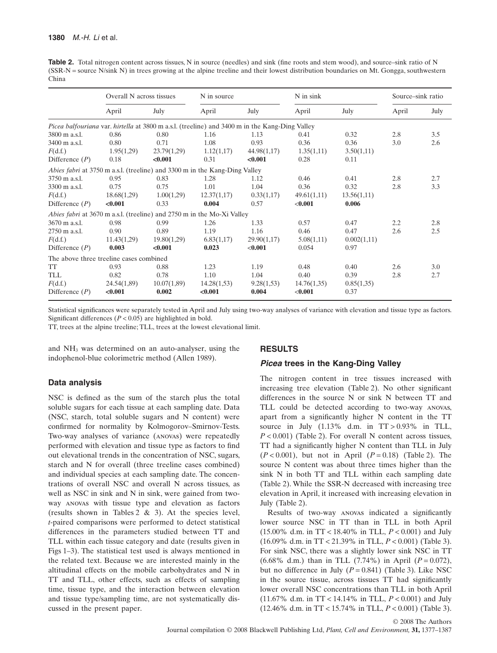Table 2. Total nitrogen content across tissues, N in source (needles) and sink (fine roots and stem wood), and source–sink ratio of N (SSR-N = source N/sink N) in trees growing at the alpine treeline and their lowest distribution boundaries on Mt. Gongga, southwestern China

|                                                                                                | Overall N across tissues |             | N in source |             | N in sink   |             | Source–sink ratio |      |  |  |
|------------------------------------------------------------------------------------------------|--------------------------|-------------|-------------|-------------|-------------|-------------|-------------------|------|--|--|
|                                                                                                | April                    | July        | April       | July        | April       | July        | April             | July |  |  |
| Picea balfouriana var. hirtella at 3800 m a.s.l. (treeline) and 3400 m in the Kang-Ding Valley |                          |             |             |             |             |             |                   |      |  |  |
| 3800 m a.s.l.                                                                                  | 0.86                     | 0.80        | 1.16        | 1.13        | 0.41        | 0.32        | 2.8               | 3.5  |  |  |
| $3400 \text{ m a.s.}$                                                                          | 0.80                     | 0.71        | 1.08        | 0.93        | 0.36        | 0.36        | 3.0               | 2.6  |  |  |
| F(d.f.)                                                                                        | 1.95(1,29)               | 23.79(1,29) | 1.12(1,17)  | 44.98(1,17) | 1.35(1,11)  | 3.50(1,11)  |                   |      |  |  |
| Difference $(P)$                                                                               | 0.18                     | < 0.001     | 0.31        | < 0.001     | 0.28        | 0.11        |                   |      |  |  |
| Abies fabri at 3750 m a.s.l. (treeline) and 3300 m in the Kang-Ding Valley                     |                          |             |             |             |             |             |                   |      |  |  |
| 3750 m a.s.l.                                                                                  | 0.95                     | 0.83        | 1.28        | 1.12        | 0.46        | 0.41        | 2.8               | 2.7  |  |  |
| 3300 m a.s.l.                                                                                  | 0.75                     | 0.75        | 1.01        | 1.04        | 0.36        | 0.32        | 2.8               | 3.3  |  |  |
| F(d.f.)                                                                                        | 18.68(1,29)              | 1.00(1,29)  | 12.37(1,17) | 0.33(1,17)  | 49.61(1,11) | 13.56(1,11) |                   |      |  |  |
| Difference $(P)$                                                                               | < 0.001                  | 0.33        | 0.004       | 0.57        | < 0.001     | 0.006       |                   |      |  |  |
| Abies fabri at 3670 m a.s.l. (treeline) and 2750 m in the Mo-Xi Valley                         |                          |             |             |             |             |             |                   |      |  |  |
| 3670 m a.s.l.                                                                                  | 0.98                     | 0.99        | 1.26        | 1.33        | 0.57        | 0.47        | 2.2               | 2.8  |  |  |
| 2750 m a.s.l.                                                                                  | 0.90                     | 0.89        | 1.19        | 1.16        | 0.46        | 0.47        | 2.6               | 2.5  |  |  |
| F(d.f.)                                                                                        | 11.43(1,29)              | 19.80(1,29) | 6.83(1,17)  | 29.90(1,17) | 5.08(1,11)  | 0.002(1,11) |                   |      |  |  |
| Difference $(P)$                                                                               | 0.003                    | < 0.001     | 0.023       | < 0.001     | 0.054       | 0.97        |                   |      |  |  |
| The above three treeline cases combined                                                        |                          |             |             |             |             |             |                   |      |  |  |
| TT                                                                                             | 0.93                     | 0.88        | 1.23        | 1.19        | 0.48        | 0.40        | 2.6               | 3.0  |  |  |
| TLL                                                                                            | 0.82                     | 0.78        | 1.10        | 1.04        | 0.40        | 0.39        | 2.8               | 2.7  |  |  |
| F(d.f.)                                                                                        | 24.54(1,89)              | 10.07(1,89) | 14.28(1,53) | 9.28(1,53)  | 14.76(1,35) | 0.85(1,35)  |                   |      |  |  |
| Difference $(P)$                                                                               | < 0.001                  | 0.002       | < 0.001     | 0.004       | < 0.001     | 0.37        |                   |      |  |  |

Statistical significances were separately tested in April and July using two-way analyses of variance with elevation and tissue type as factors. Significant differences (*P* < 0.05) are highlighted in bold.

TT, trees at the alpine treeline; TLL, trees at the lowest elevational limit.

and NH3 was determined on an auto-analyser, using the indophenol-blue colorimetric method (Allen 1989).

# **Data analysis**

NSC is defined as the sum of the starch plus the total soluble sugars for each tissue at each sampling date. Data (NSC, starch, total soluble sugars and N content) were confirmed for normality by Kolmogorov–Smirnov-Tests. Two-way analyses of variance (anovas) were repeatedly performed with elevation and tissue type as factors to find out elevational trends in the concentration of NSC, sugars, starch and N for overall (three treeline cases combined) and individual species at each sampling date. The concentrations of overall NSC and overall N across tissues, as well as NSC in sink and N in sink, were gained from twoway anovas with tissue type and elevation as factors (results shown in Tables 2 & 3). At the species level, *t*-paired comparisons were performed to detect statistical differences in the parameters studied between TT and TLL within each tissue category and date (results given in Figs 1–3). The statistical test used is always mentioned in the related text. Because we are interested mainly in the altitudinal effects on the mobile carbohydrates and N in TT and TLL, other effects, such as effects of sampling time, tissue type, and the interaction between elevation and tissue type/sampling time, are not systematically discussed in the present paper.

#### **RESULTS**

# *Picea* **trees in the Kang-Ding Valley**

The nitrogen content in tree tissues increased with increasing tree elevation (Table 2). No other significant differences in the source N or sink N between TT and TLL could be detected according to two-way anovas, apart from a significantly higher N content in the TT source in July  $(1.13\%$  d.m. in  $TT > 0.93\%$  in TLL, *P* < 0.001) (Table 2). For overall N content across tissues, TT had a significantly higher N content than TLL in July  $(P < 0.001)$ , but not in April  $(P = 0.18)$  (Table 2). The source N content was about three times higher than the sink N in both TT and TLL within each sampling date (Table 2). While the SSR-N decreased with increasing tree elevation in April, it increased with increasing elevation in July (Table 2).

Results of two-way anovas indicated a significantly lower source NSC in TT than in TLL in both April (15.00% d.m. in TT < 18.40% in TLL, *P* < 0.001) and July (16.09% d.m. in TT < 21.39% in TLL, *P* < 0.001) (Table 3). For sink NSC, there was a slightly lower sink NSC in TT (6.68% d.m.) than in TLL (7.74%) in April (*P* = 0.072), but no difference in July  $(P = 0.841)$  (Table 3). Like NSC in the source tissue, across tissues TT had significantly lower overall NSC concentrations than TLL in both April (11.67% d.m. in TT < 14.14% in TLL, *P* < 0.001) and July (12.46% d.m. in TT < 15.74% in TLL, *P* < 0.001) (Table 3).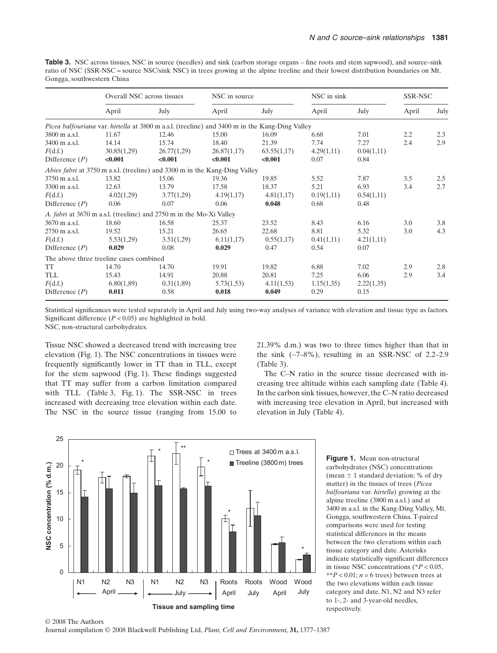**Table 3.** NSC across tissues, NSC in source (needles) and sink (carbon storage organs – fine roots and stem sapwood), and source–sink ratio of NSC (SSR-NSC = source NSC/sink NSC) in trees growing at the alpine treeline and their lowest distribution boundaries on Mt. Gongga, southwestern China

|                                                                                                       | Overall NSC across tissues |             |             | NSC in source |            | NSC in sink |       | SSR-NSC |  |
|-------------------------------------------------------------------------------------------------------|----------------------------|-------------|-------------|---------------|------------|-------------|-------|---------|--|
|                                                                                                       | April                      | July        | April       | July          | April      | July        | April | July    |  |
| <i>Picea balfouriana var. hirtella at 3800 m a.s.l. (treeline) and 3400 m in the Kang-Ding Valley</i> |                            |             |             |               |            |             |       |         |  |
| 3800 m a.s.l.                                                                                         | 11.67                      | 12.46       | 15.00       | 16.09         | 6.68       | 7.01        | 2.2   | 2.3     |  |
| 3400 m a.s.l.                                                                                         | 14.14                      | 15.74       | 18.40       | 21.39         | 7.74       | 7.27        | 2.4   | 2.9     |  |
| F(d.f.)                                                                                               | 30.85(1,29)                | 26.77(1,29) | 26.87(1,17) | 63.55(1,17)   | 4.29(1,11) | 0.04(1,11)  |       |         |  |
| Difference $(P)$                                                                                      | < 0.001                    | < 0.001     | < 0.001     | < 0.001       | 0.07       | 0.84        |       |         |  |
| <i>Abies fabri</i> at 3750 m a.s.l. (treeline) and 3300 m in the Kang-Ding Valley                     |                            |             |             |               |            |             |       |         |  |
| 3750 m a.s.l.                                                                                         | 13.82                      | 15.06       | 19.36       | 19.85         | 5.52       | 7.87        | 3.5   | 2.5     |  |
| 3300 m a.s.l.                                                                                         | 12.63                      | 13.79       | 17.58       | 18.37         | 5.21       | 6.93        | 3.4   | 2.7     |  |
| F(d.f.)                                                                                               | 4.02(1,29)                 | 3.77(1,29)  | 4.19(1,17)  | 4.81(1,17)    | 0.19(1,11) | 0.54(1,11)  |       |         |  |
| Difference $(P)$                                                                                      | 0.06                       | 0.07        | 0.06        | 0.048         | 0.68       | 0.48        |       |         |  |
| A. fabri at 3670 m a.s.l. (treeline) and 2750 m in the Mo-Xi Valley                                   |                            |             |             |               |            |             |       |         |  |
| 3670 m a.s.l.                                                                                         | 18.60                      | 16.58       | 25.37       | 23.52         | 8.43       | 6.16        | 3.0   | 3.8     |  |
| 2750 m a.s.l.                                                                                         | 19.52                      | 15.21       | 26.65       | 22.68         | 8.81       | 5.32        | 3.0   | 4.3     |  |
| F(d.f.)                                                                                               | 5.53(1,29)                 | 3.51(1,29)  | 6.11(1,17)  | 0.55(1,17)    | 0.41(1,11) | 4.21(1,11)  |       |         |  |
| Difference $(P)$                                                                                      | 0.029                      | 0.08        | 0.029       | 0.47          | 0.54       | 0.07        |       |         |  |
| The above three treeline cases combined                                                               |                            |             |             |               |            |             |       |         |  |
| TT                                                                                                    | 14.70                      | 14.70       | 19.91       | 19.82         | 6.88       | 7.02        | 2.9   | 2.8     |  |
| TLL                                                                                                   | 15.43                      | 14.91       | 20.88       | 20.81         | 7.25       | 6.06        | 2.9   | 3.4     |  |
| F(d.f.)                                                                                               | 6.80(1,89)                 | 0.31(1,89)  | 5.73(1,53)  | 4.11(1,53)    | 1.15(1,35) | 2.22(1,35)  |       |         |  |
| Difference $(P)$                                                                                      | 0.011                      | 0.58        | 0.018       | 0.049         | 0.29       | 0.15        |       |         |  |

Statistical significances were tested separately in April and July using two-way analyses of variance with elevation and tissue type as factors. Significant difference  $(P < 0.05)$  are highlighted in bold.

NSC, non-structural carbohydrates.

Tissue NSC showed a decreased trend with increasing tree elevation (Fig. 1). The NSC concentrations in tissues were frequently significantly lower in TT than in TLL, except for the stem sapwood (Fig. 1). These findings suggested that TT may suffer from a carbon limitation compared with TLL (Table 3, Fig. 1). The SSR-NSC in trees increased with decreasing tree elevation within each date. The NSC in the source tissue (ranging from 15.00 to

21.39% d.m.) was two to three times higher than that in the sink  $(-7-8\%)$ , resulting in an SSR-NSC of 2.2–2.9 (Table 3).

The C–N ratio in the source tissue decreased with increasing tree altitude within each sampling date (Table 4). In the carbon sink tissues, however, the C–N ratio decreased with increasing tree elevation in April, but increased with elevation in July (Table 4).



**Figure 1.** Mean non-structural carbohydrates (NSC) concentrations (mean  $\pm$  1 standard deviation; % of dry matter) in the tissues of trees (*Picea balfouriana* var. *hirtella*) growing at the alpine treeline (3800 m a.s.l.) and at 3400 m a.s.l. in the Kang-Ding Valley, Mt. Gongga, southwestern China. T-paired comparisons were used for testing statistical differences in the means between the two elevations within each tissue category and date. Asterisks indicate statistically significant differences in tissue NSC concentrations (\**P* < 0.05, \*\**P* < 0.01;  $n = 6$  trees) between trees at the two elevations within each tissue category and date. N1, N2 and N3 refer to 1-, 2- and 3-year-old needles, respectively.



Journal compilation © 2008 Blackwell Publishing Ltd, *Plant, Cell and Environment,* **31,** 1377–1387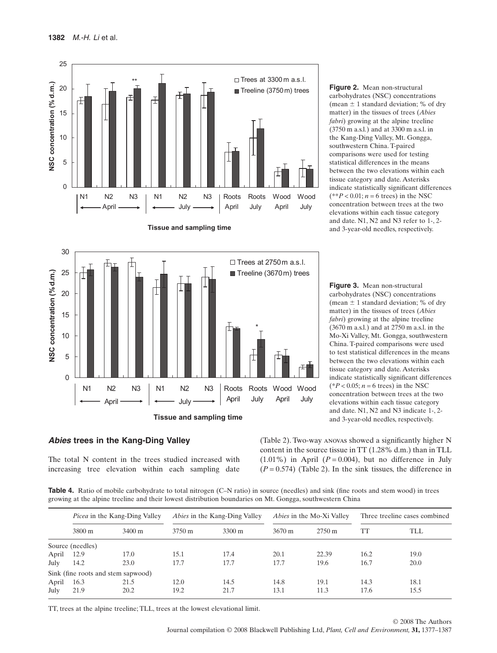



*Abies* **trees in the Kang-Ding Valley**

The total N content in the trees studied increased with increasing tree elevation within each sampling date **Figure 2.** Mean non-structural carbohydrates (NSC) concentrations (mean  $\pm$  1 standard deviation; % of dry matter) in the tissues of trees (*Abies fabri*) growing at the alpine treeline (3750 m a.s.l.) and at 3300 m a.s.l. in the Kang-Ding Valley, Mt. Gongga, southwestern China. T-paired comparisons were used for testing statistical differences in the means between the two elevations within each tissue category and date. Asterisks indicate statistically significant differences  $(**P < 0.01; n = 6$  trees) in the NSC concentration between trees at the two elevations within each tissue category and date. N1, N2 and N3 refer to 1-, 2 and 3-year-old needles, respectively.

**Figure 3.** Mean non-structural carbohydrates (NSC) concentrations (mean  $\pm$  1 standard deviation; % of dry matter) in the tissues of trees (*Abies fabri*) growing at the alpine treeline (3670 m a.s.l.) and at 2750 m a.s.l. in the Mo-Xi Valley, Mt. Gongga, southwestern China. T-paired comparisons were used to test statistical differences in the means between the two elevations within each tissue category and date. Asterisks indicate statistically significant differences  $(*P < 0.05; n = 6$  trees) in the NSC concentration between trees at the two elevations within each tissue category and date. N1, N2 and N3 indicate 1-, 2 and 3-year-old needles, respectively.

(Table 2). Two-way anovas showed a significantly higher N content in the source tissue in TT (1.28% d.m.) than in TLL  $(1.01\%)$  in April  $(P = 0.004)$ , but no difference in July  $(P = 0.574)$  (Table 2). In the sink tissues, the difference in

Table 4. Ratio of mobile carbohydrate to total nitrogen (C–N ratio) in source (needles) and sink (fine roots and stem wood) in trees growing at the alpine treeline and their lowest distribution boundaries on Mt. Gongga, southwestern China

|       | <i>Picea</i> in the Kang-Ding Valley |                                    | <i>Abies</i> in the Kang-Ding Valley |        | <i>Abies</i> in the Mo-Xi Valley |                  | Three treeline cases combined |      |
|-------|--------------------------------------|------------------------------------|--------------------------------------|--------|----------------------------------|------------------|-------------------------------|------|
|       | 3800 m                               | 3400 m                             | 3750 m                               | 3300 m | $3670 \text{ m}$                 | $2750 \text{ m}$ | TT                            | TLL  |
|       | Source (needles)                     |                                    |                                      |        |                                  |                  |                               |      |
| April | 12.9                                 | 17.0                               | 15.1                                 | 17.4   | 20.1                             | 22.39            | 16.2                          | 19.0 |
| July  | 14.2                                 | 23.0                               | 17.7                                 | 17.7   | 17.7                             | 19.6             | 16.7                          | 20.0 |
|       |                                      | Sink (fine roots and stem sapwood) |                                      |        |                                  |                  |                               |      |
| April | 16.3                                 | 21.5                               | 12.0                                 | 14.5   | 14.8                             | 19.1             | 14.3                          | 18.1 |
| July  | 21.9                                 | 20.2                               | 19.2                                 | 21.7   | 13.1                             | 11.3             | 17.6                          | 15.5 |

TT, trees at the alpine treeline; TLL, trees at the lowest elevational limit.

© 2008 The Authors Journal compilation © 2008 Blackwell Publishing Ltd, *Plant, Cell and Environment,* **31,** 1377–1387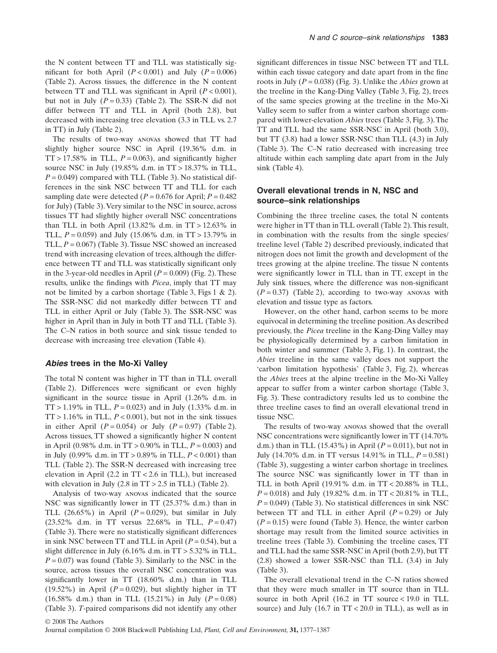the N content between TT and TLL was statistically significant for both April  $(P < 0.001)$  and July  $(P = 0.006)$ (Table 2). Across tissues, the difference in the N content between TT and TLL was significant in April  $(P < 0.001)$ , but not in July  $(P = 0.33)$  (Table 2). The SSR-N did not differ between TT and TLL in April (both 2.8), but decreased with increasing tree elevation (3.3 in TLL vs. 2.7 in TT) in July (Table 2).

The results of two-way anovas showed that TT had slightly higher source NSC in April (19.36% d.m. in  $TT > 17.58\%$  in TLL,  $P = 0.063$ ), and significantly higher source NSC in July (19.85% d.m. in TT > 18.37% in TLL,  $P = 0.049$ ) compared with TLL (Table 3). No statistical differences in the sink NSC between TT and TLL for each sampling date were detected  $(P = 0.676$  for April;  $P = 0.482$ for July) (Table 3).Very similar to the NSC in source, across tissues TT had slightly higher overall NSC concentrations than TLL in both April (13.82% d.m. in  $TT > 12.63\%$  in TLL,  $P = 0.059$ ) and July (15.06% d.m. in TT > 13.79% in TLL, *P* = 0.067) (Table 3). Tissue NSC showed an increased trend with increasing elevation of trees, although the difference between TT and TLL was statistically significant only in the 3-year-old needles in April  $(P = 0.009)$  (Fig. 2). These results, unlike the findings with *Picea*, imply that TT may not be limited by a carbon shortage (Table 3, Figs 1 & 2). The SSR-NSC did not markedly differ between TT and TLL in either April or July (Table 3). The SSR-NSC was higher in April than in July in both TT and TLL (Table 3). The C–N ratios in both source and sink tissue tended to decrease with increasing tree elevation (Table 4).

#### *Abies* **trees in the Mo-Xi Valley**

The total N content was higher in TT than in TLL overall (Table 2). Differences were significant or even highly significant in the source tissue in April (1.26% d.m. in  $TT > 1.19\%$  in TLL,  $P = 0.023$ ) and in July (1.33% d.m. in  $TT > 1.16\%$  in TLL,  $P < 0.001$ ), but not in the sink tissues in either April  $(P = 0.054)$  or July  $(P = 0.97)$  (Table 2). Across tissues, TT showed a significantly higher N content in April (0.98% d.m. in TT > 0.90% in TLL, *P* = 0.003) and in July (0.99% d.m. in TT > 0.89% in TLL, *P* < 0.001) than TLL (Table 2). The SSR-N decreased with increasing tree elevation in April (2.2 in TT < 2.6 in TLL), but increased with elevation in July  $(2.8 \text{ in } TT > 2.5 \text{ in } TLL)$  (Table 2).

Analysis of two-way anovas indicated that the source NSC was significantly lower in TT (25.37% d.m.) than in TLL  $(26.65\%)$  in April  $(P=0.029)$ , but similar in July (23.52% d.m. in TT versus 22.68% in TLL, *P* = 0.47) (Table 3). There were no statistically significant differences in sink NSC between TT and TLL in April  $(P = 0.54)$ , but a slight difference in July  $(6.16\%$  d.m. in  $TT > 5.32\%$  in TLL,  $P = 0.07$ ) was found (Table 3). Similarly to the NSC in the source, across tissues the overall NSC concentration was significantly lower in TT (18.60% d.m.) than in TLL (19.52%) in April  $(P = 0.029)$ , but slightly higher in TT (16.58% d.m.) than in TLL (15.21%) in July ( $P = 0.08$ ) (Table 3). *T*-paired comparisons did not identify any other significant differences in tissue NSC between TT and TLL within each tissue category and date apart from in the fine roots in July (*P* = 0.038) (Fig. 3). Unlike the *Abies* grown at the treeline in the Kang-Ding Valley (Table 3, Fig. 2), trees of the same species growing at the treeline in the Mo-Xi Valley seem to suffer from a winter carbon shortage compared with lower-elevation *Abies* trees (Table 3, Fig. 3).The TT and TLL had the same SSR-NSC in April (both 3.0), but TT (3.8) had a lower SSR-NSC than TLL (4.3) in July (Table 3). The C–N ratio decreased with increasing tree altitude within each sampling date apart from in the July sink (Table 4).

#### **Overall elevational trends in N, NSC and source–sink relationships**

Combining the three treeline cases, the total N contents were higher in TT than in TLL overall (Table 2).This result, in combination with the results from the single species/ treeline level (Table 2) described previously, indicated that nitrogen does not limit the growth and development of the trees growing at the alpine treeline. The tissue N contents were significantly lower in TLL than in TT, except in the July sink tissues, where the difference was non-significant  $(P = 0.37)$  (Table 2), according to two-way anovas with elevation and tissue type as factors.

However, on the other hand, carbon seems to be more equivocal in determining the treeline position.As described previously, the *Picea* treeline in the Kang-Ding Valley may be physiologically determined by a carbon limitation in both winter and summer (Table 3, Fig. 1). In contrast, the *Abies* treeline in the same valley does not support the 'carbon limitation hypothesis' (Table 3, Fig. 2), whereas the *Abies* trees at the alpine treeline in the Mo-Xi Valley appear to suffer from a winter carbon shortage (Table 3, Fig. 3). These contradictory results led us to combine the three treeline cases to find an overall elevational trend in tissue NSC.

The results of two-way anovas showed that the overall NSC concentrations were significantly lower in TT (14.70% d.m.) than in TLL  $(15.43\%)$  in April  $(P = 0.011)$ , but not in July (14.70% d.m. in TT versus 14.91% in TLL, *P* = 0.581) (Table 3), suggesting a winter carbon shortage in treelines. The source NSC was significantly lower in TT than in TLL in both April (19.91% d.m. in TT < 20.88% in TLL,  $P = 0.018$ ) and July (19.82% d.m. in TT < 20.81% in TLL,  $P = 0.049$ ) (Table 3). No statistical differences in sink NSC between TT and TLL in either April  $(P = 0.29)$  or July  $(P = 0.15)$  were found (Table 3). Hence, the winter carbon shortage may result from the limited source activities in treeline trees (Table 3). Combining the treeline cases, TT and TLL had the same SSR-NSC in April (both 2.9), but TT (2.8) showed a lower SSR-NSC than TLL (3.4) in July (Table 3).

The overall elevational trend in the C–N ratios showed that they were much smaller in TT source than in TLL source in both April (16.2 in TT source < 19.0 in TLL source) and July  $(16.7 \text{ in } TT < 20.0 \text{ in } TLL)$ , as well as in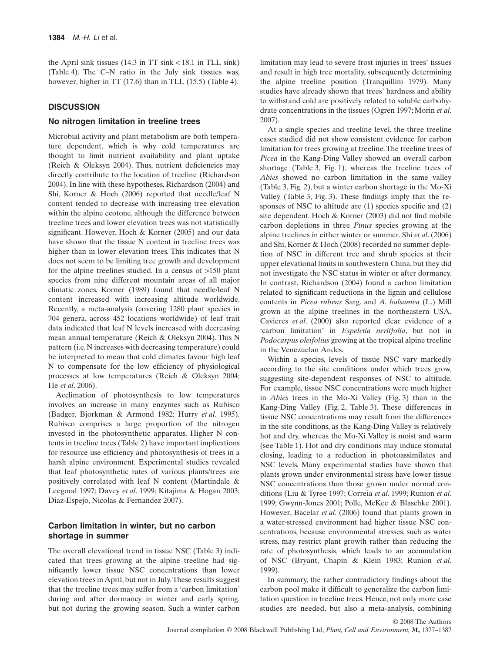the April sink tissues (14.3 in TT sink < 18.1 in TLL sink) (Table 4). The C–N ratio in the July sink tissues was, however, higher in TT (17.6) than in TLL (15.5) (Table 4).

## **DISCUSSION**

## **No nitrogen limitation in treeline trees**

Microbial activity and plant metabolism are both temperature dependent, which is why cold temperatures are thought to limit nutrient availability and plant uptake (Reich & Oleksyn 2004). Thus, nutrient deficiencies may directly contribute to the location of treeline (Richardson 2004). In line with these hypotheses, Richardson (2004) and Shi, Korner & Hoch (2006) reported that needle/leaf N content tended to decrease with increasing tree elevation within the alpine ecotone, although the difference between treeline trees and lower elevation trees was not statistically significant. However, Hoch & Korner (2005) and our data have shown that the tissue N content in treeline trees was higher than in lower elevation trees. This indicates that N does not seem to be limiting tree growth and development for the alpine treelines studied. In a census of >150 plant species from nine different mountain areas of all major climatic zones, Korner (1989) found that needle/leaf N content increased with increasing altitude worldwide. Recently, a meta-analysis (covering 1280 plant species in 704 genera, across 452 locations worldwide) of leaf trait data indicated that leaf N levels increased with decreasing mean annual temperature (Reich & Oleksyn 2004). This N pattern (i.e. N increases with decreasing temperature) could be interpreted to mean that cold climates favour high leaf N to compensate for the low efficiency of physiological processes at low temperatures (Reich & Oleksyn 2004; He *et al*. 2006).

Acclimation of photosynthesis to low temperatures involves an increase in many enzymes such as Rubisco (Badger, Bjorkman & Armond 1982; Hurry *et al*. 1995). Rubisco comprises a large proportion of the nitrogen invested in the photosynthetic apparatus. Higher N contents in treeline trees (Table 2) have important implications for resource use efficiency and photosynthesis of trees in a harsh alpine environment. Experimental studies revealed that leaf photosynthetic rates of various plants/trees are positively correlated with leaf N content (Martindale & Leegood 1997; Davey *et al*. 1999; Kitajima & Hogan 2003; Diaz-Espejo, Nicolas & Fernandez 2007).

# **Carbon limitation in winter, but no carbon shortage in summer**

The overall elevational trend in tissue NSC (Table 3) indicated that trees growing at the alpine treeline had significantly lower tissue NSC concentrations than lower elevation trees in April, but not in July.These results suggest that the treeline trees may suffer from a 'carbon limitation' during and after dormancy in winter and early spring, but not during the growing season. Such a winter carbon limitation may lead to severe frost injuries in trees' tissues and result in high tree mortality, subsequently determining the alpine treeline position (Tranquillini 1979). Many studies have already shown that trees' hardness and ability to withstand cold are positively related to soluble carbohydrate concentrations in the tissues (Ogren 1997; Morin *et al*. 2007).

At a single species and treeline level, the three treeline cases studied did not show consistent evidence for carbon limitation for trees growing at treeline. The treeline trees of *Picea* in the Kang-Ding Valley showed an overall carbon shortage (Table 3, Fig. 1), whereas the treeline trees of *Abies* showed no carbon limitation in the same valley (Table 3, Fig. 2), but a winter carbon shortage in the Mo-Xi Valley (Table 3, Fig. 3). These findings imply that the responses of NSC to altitude are (1) species specific and (2) site dependent. Hoch & Korner (2003) did not find mobile carbon depletions in three *Pinus* species growing at the alpine treelines in either winter or summer. Shi *et al*. (2006) and Shi, Korner & Hoch (2008) recorded no summer depletion of NSC in different tree and shrub species at their upper elevational limits in southwestern China, but they did not investigate the NSC status in winter or after dormancy. In contrast, Richardson (2004) found a carbon limitation related to significant reductions in the lignin and cellulose contents in *Picea rubens* Sarg. and *A. balsamea* (L.) Mill grown at the alpine treelines in the northeastern USA. Cavieres *et al*. (2000) also reported clear evidence of a 'carbon limitation' in *Espeletia neriifolia*, but not in *Podocarpus oleifolius* growing at the tropical alpine treeline in the Venezuelan Andes.

Within a species, levels of tissue NSC vary markedly according to the site conditions under which trees grow, suggesting site-dependent responses of NSC to altitude. For example, tissue NSC concentrations were much higher in *Abies* trees in the Mo-Xi Valley (Fig. 3) than in the Kang-Ding Valley (Fig. 2, Table 3). These differences in tissue NSC concentrations may result from the differences in the site conditions, as the Kang-Ding Valley is relatively hot and dry, whereas the Mo-Xi Valley is moist and warm (see Table 1). Hot and dry conditions may induce stomatal closing, leading to a reduction in photoassimilates and NSC levels. Many experimental studies have shown that plants grown under environmental stress have lower tissue NSC concentrations than those grown under normal conditions (Liu & Tyree 1997; Correia *et al*. 1999; Runion *et al*. 1999; Gwynn-Jones 2001; Polle, McKee & Blaschke 2001). However, Bacelar *et al*. (2006) found that plants grown in a water-stressed environment had higher tissue NSC concentrations, because environmental stresses, such as water stress, may restrict plant growth rather than reducing the rate of photosynthesis, which leads to an accumulation of NSC (Bryant, Chapin & Klein 1983; Runion *et al*. 1999).

In summary, the rather contradictory findings about the carbon pool make it difficult to generalize the carbon limitation question in treeline trees. Hence, not only more case studies are needed, but also a meta-analysis, combining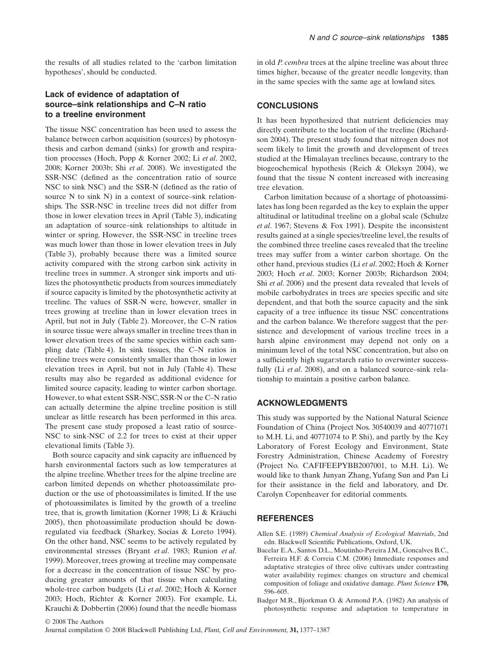the results of all studies related to the 'carbon limitation hypotheses', should be conducted.

# **Lack of evidence of adaptation of source–sink relationships and C–N ratio to a treeline environment**

The tissue NSC concentration has been used to assess the balance between carbon acquisition (sources) by photosynthesis and carbon demand (sinks) for growth and respiration processes (Hoch, Popp & Korner 2002; Li *et al*. 2002, 2008; Korner 2003b; Shi *et al*. 2008). We investigated the SSR-NSC (defined as the concentration ratio of source NSC to sink NSC) and the SSR-N (defined as the ratio of source N to sink N) in a context of source–sink relationships. The SSR-NSC in treeline trees did not differ from those in lower elevation trees in April (Table 3), indicating an adaptation of source–sink relationships to altitude in winter or spring. However, the SSR-NSC in treeline trees was much lower than those in lower elevation trees in July (Table 3), probably because there was a limited source activity compared with the strong carbon sink activity in treeline trees in summer. A stronger sink imports and utilizes the photosynthetic products from sources immediately if source capacity is limited by the photosynthetic activity at treeline. The values of SSR-N were, however, smaller in trees growing at treeline than in lower elevation trees in April, but not in July (Table 2). Moreover, the C–N ratios in source tissue were always smaller in treeline trees than in lower elevation trees of the same species within each sampling date (Table 4). In sink tissues, the C–N ratios in treeline trees were consistently smaller than those in lower elevation trees in April, but not in July (Table 4). These results may also be regarded as additional evidence for limited source capacity, leading to winter carbon shortage. However, to what extent SSR-NSC, SSR-N or the C–N ratio can actually determine the alpine treeline position is still unclear as little research has been performed in this area. The present case study proposed a least ratio of source-NSC to sink-NSC of 2.2 for trees to exist at their upper elevational limits (Table 3).

Both source capacity and sink capacity are influenced by harsh environmental factors such as low temperatures at the alpine treeline.Whether trees for the alpine treeline are carbon limited depends on whether photoassimilate production or the use of photoassimilates is limited. If the use of photoassimilates is limited by the growth of a treeline tree, that is, growth limitation (Korner 1998; Li & Kräuchi 2005), then photoassimilate production should be downregulated via feedback (Sharkey, Socias & Loreto 1994). On the other hand, NSC seems to be actively regulated by environmental stresses (Bryant *et al*. 1983; Runion *et al*. 1999). Moreover, trees growing at treeline may compensate for a decrease in the concentration of tissue NSC by producing greater amounts of that tissue when calculating whole-tree carbon budgets (Li *et al*. 2002; Hoch & Korner 2003; Hoch, Richter & Korner 2003). For example, Li, Krauchi & Dobbertin (2006) found that the needle biomass

in old *P. cembra* trees at the alpine treeline was about three times higher, because of the greater needle longevity, than in the same species with the same age at lowland sites.

# **CONCLUSIONS**

It has been hypothesized that nutrient deficiencies may directly contribute to the location of the treeline (Richardson 2004). The present study found that nitrogen does not seem likely to limit the growth and development of trees studied at the Himalayan treelines because, contrary to the biogeochemical hypothesis (Reich & Oleksyn 2004), we found that the tissue N content increased with increasing tree elevation.

Carbon limitation because of a shortage of photoassimilates has long been regarded as the key to explain the upper altitudinal or latitudinal treeline on a global scale (Schulze *et al*. 1967; Stevens & Fox 1991). Despite the inconsistent results gained at a single species/treeline level, the results of the combined three treeline cases revealed that the treeline trees may suffer from a winter carbon shortage. On the other hand, previous studies (Li *et al*. 2002; Hoch & Korner 2003; Hoch *et al*. 2003; Korner 2003b; Richardson 2004; Shi *et al*. 2006) and the present data revealed that levels of mobile carbohydrates in trees are species specific and site dependent, and that both the source capacity and the sink capacity of a tree influence its tissue NSC concentrations and the carbon balance. We therefore suggest that the persistence and development of various treeline trees in a harsh alpine environment may depend not only on a minimum level of the total NSC concentration, but also on a sufficiently high sugar:starch ratio to overwinter successfully (Li *et al.* 2008), and on a balanced source–sink relationship to maintain a positive carbon balance.

## **ACKNOWLEDGMENTS**

This study was supported by the National Natural Science Foundation of China (Project Nos. 30540039 and 40771071 to M.H. Li, and 40771074 to P. Shi), and partly by the Key Laboratory of Forest Ecology and Environment, State Forestry Administration, Chinese Academy of Forestry (Project No. CAFIFEEPYBB2007001, to M.H. Li). We would like to thank Junyan Zhang, Yufang Sun and Pan Li for their assistance in the field and laboratory, and Dr. Carolyn Copenheaver for editorial comments.

## **REFERENCES**

- Allen S.E. (1989) *Chemical Analysis of Ecological Materials*, 2nd edn. Blackwell Scientific Publications, Oxford, UK.
- Bacelar E.A., Santos D.L., Moutinho-Pereira J.M., Goncalves B.C., Ferreira H.F. & Correia C.M. (2006) Immediate responses and adaptative strategies of three olive cultivars under contrasting water availability regimes: changes on structure and chemical composition of foliage and oxidative damage. *Plant Science* **170,** 596–605.
- Badger M.R., Bjorkman O. & Armond P.A. (1982) An analysis of photosynthetic response and adaptation to temperature in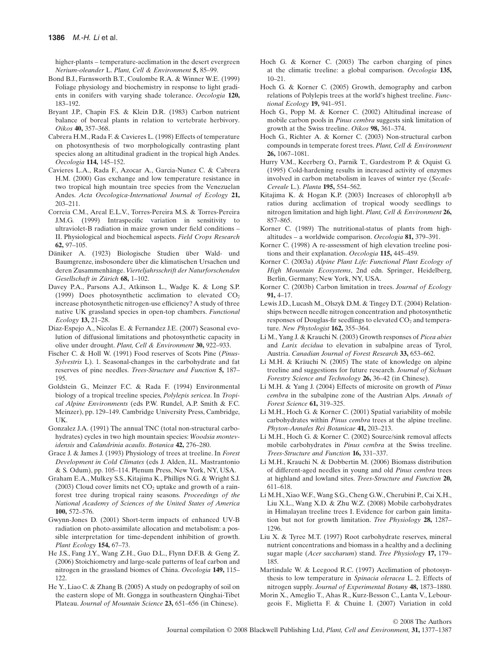higher-plants – temperature-acclimation in the desert evergreen *Nerium-oleander* L. *Plant, Cell & Environment* **5,** 85–99.

- Bond B.J., Farnsworth B.T., Coulombe R.A. & Winner W.E. (1999) Foliage physiology and biochemistry in response to light gradients in conifers with varying shade tolerance. *Oecologia* **120,** 183–192.
- Bryant J.P., Chapin F.S. & Klein D.R. (1983) Carbon nutrient balance of boreal plants in relation to vertebrate herbivory. *Oikos* **40,** 357–368.
- Cabrera H.M., Rada F. & Cavieres L. (1998) Effects of temperature on photosynthesis of two morphologically contrasting plant species along an altitudinal gradient in the tropical high Andes. *Oecologia* **114,** 145–152.
- Cavieres L.A., Rada F., Azocar A., Garcia-Nunez C. & Cabrera H.M. (2000) Gas exchange and low temperature resistance in two tropical high mountain tree species from the Venezuelan Andes. *Acta Oecologica-International Journal of Ecology* **21,** 203–211.
- Correia C.M., Areal E.L.V., Torres-Pereira M.S. & Torres-Pereira J.M.G. (1999) Intraspecific variation in sensitivity to ultraviolet-B radiation in maize grown under field conditions – II. Physiological and biochemical aspects. *Field Crops Research* **62,** 97–105.
- Däniker A. (1923) Biologische Studien über Wald- und Baumgrenze, insbosondere über die klimatischen Ursachen und deren Zusammenhänge. *Vierteljahrsschrift der Naturforschenden Gesellschaft in Zürich* **68,** 1–102.
- Davey P.A., Parsons A.J., Atkinson L., Wadge K. & Long S.P. (1999) Does photosynthetic acclimation to elevated  $CO<sub>2</sub>$ increase photosynthetic nitrogen-use efficiency? A study of three native UK grassland species in open-top chambers. *Functional Ecology* **13,** 21–28.
- Diaz-Espejo A., Nicolas E. & Fernandez J.E. (2007) Seasonal evolution of diffusional limitations and photosynthetic capacity in olive under drought. *Plant, Cell & Environment* **30,** 922–933.
- Fischer C. & Holl W. (1991) Food reserves of Scots Pine (*Pinus-Sylvestris* L). 1. Seasonal-changes in the carbohydrate and fat reserves of pine needles. *Trees-Structure and Function* **5,** 187– 195.
- Goldstein G., Meinzer F.C. & Rada F. (1994) Environmental biology of a tropical treeline species, *Polylepis sericea*. In *Tropical Alpine Environments* (eds P.W. Rundel, A.P. Smith & F.C. Meinzer), pp. 129–149. Cambridge University Press, Cambridge, UK.
- Gonzalez J.A. (1991) The annual TNC (total non-structural carbohydrates) cycles in two high mountain species: *Woodsia montevidensis* and *Calandrinia acaulis*. *Botanica* **42,** 276–280.
- Grace J. & James J. (1993) Physiology of trees at treeline. In *Forest Development in Cold Climates* (eds J. Alden, J.L. Mastrantonio & S. Odum), pp. 105–114. Plenum Press, New York, NY, USA.
- Graham E.A., Mulkey S.S., Kitajima K., Phillips N.G. & Wright S.J. (2003) Cloud cover limits net  $CO<sub>2</sub>$  uptake and growth of a rainforest tree during tropical rainy seasons. *Proceedings of the National Academy of Sciences of the United States of America* **100,** 572–576.
- Gwynn-Jones D. (2001) Short-term impacts of enhanced UV-B radiation on photo-assimilate allocation and metabolism: a possible interpretation for time-dependent inhibition of growth. *Plant Ecology* **154,** 67–73.
- He J.S., Fang J.Y., Wang Z.H., Guo D.L., Flynn D.F.B. & Geng Z. (2006) Stoichiometry and large-scale patterns of leaf carbon and nitrogen in the grassland biomes of China. *Oecologia* **149,** 115– 122.
- He Y., Liao C. & Zhang B. (2005) A study on pedography of soil on the eastern slope of Mt. Gongga in southeastern Qinghai-Tibet Plateau. *Journal of Mountain Science* **23,** 651–656 (in Chinese).
- Hoch G. & Korner C. (2003) The carbon charging of pines at the climatic treeline: a global comparison. *Oecologia* **135,**  $10-21$
- Hoch G. & Korner C. (2005) Growth, demography and carbon relations of Polylepis trees at the world's highest treeline. *Functional Ecology* **19,** 941–951.
- Hoch G., Popp M. & Korner C. (2002) Altitudinal increase of mobile carbon pools in *Pinus cembra* suggests sink limitation of growth at the Swiss treeline. *Oikos* **98,** 361–374.
- Hoch G., Richter A. & Korner C. (2003) Non-structural carbon compounds in temperate forest trees. *Plant, Cell & Environment* **26,** 1067–1081.
- Hurry V.M., Keerberg O., Parnik T., Gardestrom P. & Oquist G. (1995) Cold-hardening results in increased activity of enzymes involved in carbon metabolism in leaves of winter rye (*Secale-Cereale* L.). *Planta* **195,** 554–562.
- Kitajima K. & Hogan K.P. (2003) Increases of chlorophyll a/b ratios during acclimation of tropical woody seedlings to nitrogen limitation and high light. *Plant, Cell & Environment* **26,** 857–865.
- Korner C. (1989) The nutritional-status of plants from highaltitudes – a worldwide comparison. *Oecologia* **81,** 379–391.
- Korner C. (1998) A re-assessment of high elevation treeline positions and their explanation. *Oecologia* **115,** 445–459.
- Korner C. (2003a) *Alpine Plant Life: Functional Plant Ecology of High Mountain Ecosystems*, 2nd edn. Springer, Heidelberg, Berlin, Germany; New York, NY, USA.
- Korner C. (2003b) Carbon limitation in trees. *Journal of Ecology* **91,** 4–17.
- Lewis J.D., Lucash M., Olszyk D.M. & Tingey D.T. (2004) Relationships between needle nitrogen concentration and photosynthetic responses of Douglas-fir seedlings to elevated CO<sub>2</sub> and temperature. *New Phytologist* **162,** 355–364.
- Li M., Yang J. & Krauchi N. (2003) Growth responses of *Picea abies* and *Larix decidua* to elevation in subalpine areas of Tyrol, Austria. *Canadian Journal of Forest Research* **33,** 653–662.
- Li M.H. & Kräuchi N. (2005) The state of knowledge on alpine treeline and suggestions for future research. *Journal of Sichuan Forestry Science and Technology* **26,** 36–42 (in Chinese).
- Li M.H. & Yang J. (2004) Effects of microsite on growth of *Pinus cembra* in the subalpine zone of the Austrian Alps. *Annals of Forest Science* **61,** 319–325.
- Li M.H., Hoch G. & Korner C. (2001) Spatial variability of mobile carbohydrates within *Pinus cembra* trees at the alpine treeline. *Phyton-Annales Rei Botanicae* **41,** 203–213.
- Li M.H., Hoch G. & Korner C. (2002) Source/sink removal affects mobile carbohydrates in *Pinus cembra* at the Swiss treeline. *Trees-Structure and Function* **16,** 331–337.
- Li M.H., Krauchi N. & Dobbertin M. (2006) Biomass distribution of different-aged needles in young and old *Pinus cembra* trees at highland and lowland sites. *Trees-Structure and Function* **20,** 611–618.
- Li M.H., Xiao W.F., Wang S.G., Cheng G.W., Cherubini P., Cai X.H., Liu X.L., Wang X.D. & Zhu W.Z. (2008) Mobile carbohydrates in Himalayan treeline trees I. Evidence for carbon gain limitation but not for growth limitation. *Tree Physiology* **28,** 1287– 1296.
- Liu X. & Tyree M.T. (1997) Root carbohydrate reserves, mineral nutrient concentrations and biomass in a healthy and a declining sugar maple (*Acer saccharum*) stand. *Tree Physiology* **17,** 179– 185.
- Martindale W. & Leegood R.C. (1997) Acclimation of photosynthesis to low temperature in *Spinacia oleracea* L. 2. Effects of nitrogen supply. *Journal of Experimental Botany* **48,** 1873–1880.
- Morin X., Ameglio T., Ahas R., Kurz-Besson C., Lanta V., Lebourgeois F., Miglietta F. & Chuine I. (2007) Variation in cold